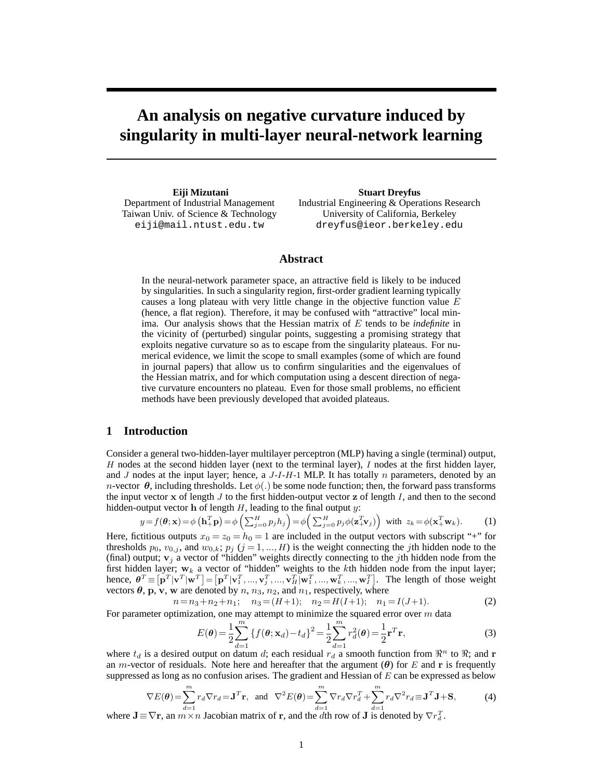# **An analysis on negative curvature induced by singularity in multi-layer neural-network learning**

**Eiji Mizutani** Department of Industrial Management Taiwan Univ. of Science & Technology eiji@mail.ntust.edu.tw

**Stuart Dreyfus** Industrial Engineering & Operations Research University of California, Berkeley dreyfus@ieor.berkeley.edu

## **Abstract**

In the neural-network parameter space, an attractive field is likely to be induced by singularities. In such a singularity region, first-order gradient learning typically causes a long plateau with very little change in the objective function value  $E$ (hence, a flat region). Therefore, it may be confused with "attractive" local minima. Our analysis shows that the Hessian matrix of E tends to be *indefinite* in the vicinity of (perturbed) singular points, suggesting a promising strategy that exploits negative curvature so as to escape from the singularity plateaus. For numerical evidence, we limit the scope to small examples (some of which are found in journal papers) that allow us to confirm singularities and the eigenvalues of the Hessian matrix, and for which computation using a descent direction of negative curvature encounters no plateau. Even for those small problems, no efficient methods have been previously developed that avoided plateaus.

# **1 Introduction**

Consider a general two-hidden-layer multilayer perceptron (MLP) having a single (terminal) output,  $H$  nodes at the second hidden layer (next to the terminal layer),  $I$  nodes at the first hidden layer, and J nodes at the input layer; hence, a  $J-I-H-1$  MLP. It has totally n parameters, denoted by an n-vector  $\theta$ , including thresholds. Let  $\phi(.)$  be some node function; then, the forward pass transforms the input vector  $x$  of length  $J$  to the first hidden-output vector  $z$  of length  $I$ , and then to the second hidden-output vector  $h$  of length  $H$ , leading to the final output  $y$ :

$$
y = f(\boldsymbol{\theta}; \mathbf{x}) = \phi\left(\mathbf{h}_+^T \mathbf{p}\right) = \phi\left(\sum_{j=0}^H p_j h_j\right) = \phi\left(\sum_{j=0}^H p_j \phi(\mathbf{z}_+^T \mathbf{v}_j)\right) \text{ with } z_k = \phi(\mathbf{x}_+^T \mathbf{w}_k). \tag{1}
$$

Here, fictitious outputs  $x_0 = z_0 = h_0 = 1$  are included in the output vectors with subscript "+" for thresholds  $p_0$ ,  $v_{0,j}$ , and  $w_{0,k}$ ;  $p_j$  ( $j = 1, ..., H$ ) is the weight connecting the jth hidden node to the (final) output;  $\mathbf{v}_i$  a vector of "hidden" weights directly connecting to the *j*th hidden node from the first hidden layer;  $w_k$  a vector of "hidden" weights to the kth hidden node from the input layer; hence,  $\boldsymbol{\theta}^T \equiv [\mathbf{p}^T | \mathbf{v}^T | \mathbf{w}^T] = [\mathbf{p}^T | \mathbf{v}_1^T, ..., \mathbf{v}_j^T, ..., \mathbf{v}_H^T | \mathbf{w}_1^T, ..., \mathbf{w}_k^T, ..., \mathbf{w}_I^T]$ . The length of those weight vectors  $\theta$ , p, v, w are denoted by n,  $n_3$ ,  $n_2$ , and  $n_1$ , respectively, where

$$
n = n_3 + n_2 + n_1; \quad n_3 = (H+1); \quad n_2 = H(I+1); \quad n_1 = I(J+1).
$$
 (2)

For parameter optimization, one may attempt to minimize the squared error over  $m$  data

$$
E(\theta) = \frac{1}{2} \sum_{d=1}^{m} \left\{ f(\theta; \mathbf{x}_d) - t_d \right\}^2 = \frac{1}{2} \sum_{d=1}^{m} r_d^2(\theta) = \frac{1}{2} \mathbf{r}^T \mathbf{r},
$$
(3)

where  $t_d$  is a desired output on datum d; each residual  $r_d$  a smooth function from  $\mathbb{R}^n$  to  $\mathbb{R}$ ; and r an m-vector of residuals. Note here and hereafter that the argument ( $\theta$ ) for E and r is frequently suppressed as long as no confusion arises. The gradient and Hessian of  $E$  can be expressed as below

$$
\nabla E(\theta) = \sum_{d=1}^{m} r_d \nabla r_d = \mathbf{J}^T \mathbf{r}, \text{ and } \nabla^2 E(\theta) = \sum_{d=1}^{m} \nabla r_d \nabla r_d^T + \sum_{d=1}^{m} r_d \nabla^2 r_d \equiv \mathbf{J}^T \mathbf{J} + \mathbf{S}, \tag{4}
$$

where  $\mathbf{J} \equiv \nabla \mathbf{r}$ , an  $m \times n$  Jacobian matrix of  $\mathbf{r}$ , and the *d*th row of **J** is denoted by  $\nabla r_d^T$ .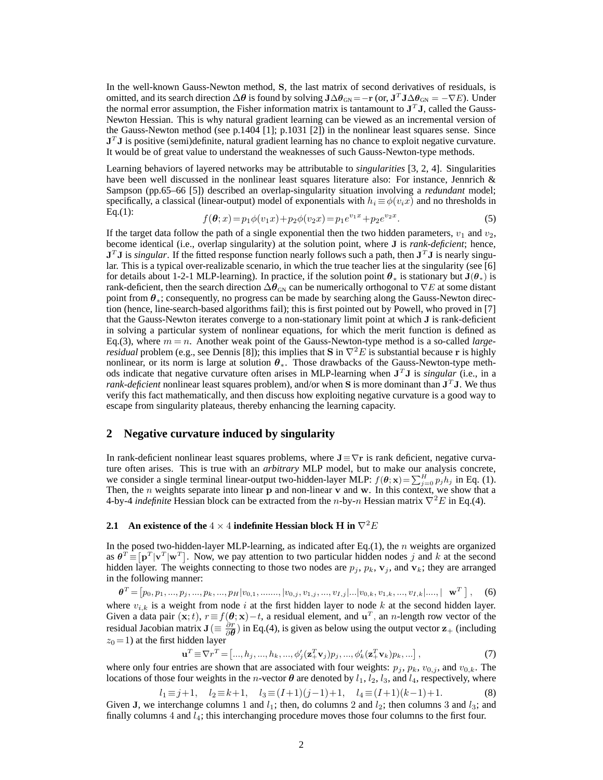In the well-known Gauss-Newton method, S, the last matrix of second derivatives of residuals, is omitted, and its search direction  $\Delta\theta$  is found by solving  $J\Delta\theta_{GN} = -r$  (or,  $J^T J\Delta\theta_{GN} = -\nabla E$ ). Under the normal error assumption, the Fisher information matrix is tantamount to  $J<sup>T</sup>J$ , called the Gauss-Newton Hessian. This is why natural gradient learning can be viewed as an incremental version of the Gauss-Newton method (see p.1404 [1]; p.1031 [2]) in the nonlinear least squares sense. Since  $J<sup>T</sup>J$  is positive (semi)definite, natural gradient learning has no chance to exploit negative curvature. It would be of great value to understand the weaknesses of such Gauss-Newton-type methods.

Learning behaviors of layered networks may be attributable to *singularities* [3, 2, 4]. Singularities have been well discussed in the nonlinear least squares literature also: For instance, Jennrich & Sampson (pp.65–66 [5]) described an overlap-singularity situation involving a *redundant* model; specifically, a classical (linear-output) model of exponentials with  $h_i \equiv \phi(v_i x)$  and no thresholds in Eq.(1): Eq.(1):  $f(\theta; x) = p_1 \phi(v_1x) + p_2 \phi(v_2x) = p_1 e$ 

$$
f(\theta; x) = p_1 \phi(v_1 x) + p_2 \phi(v_2 x) = p_1 e^{v_1 x} + p_2 e^{v_2 x}.
$$
\n<sup>(5)</sup>

If the target data follow the path of a single exponential then the two hidden parameters,  $v_1$  and  $v_2$ , become identical (i.e., overlap singularity) at the solution point, where J is *rank-deficient*; hence,  $J<sup>T</sup>J$  is *singular*. If the fitted response function nearly follows such a path, then  $J<sup>T</sup>J$  is nearly singular. This is a typical over-realizable scenario, in which the true teacher lies at the singularity (see [6] for details about 1-2-1 MLP-learning). In practice, if the solution point  $\theta_*$  is stationary but J( $\theta_*$ ) is rank-deficient, then the search direction  $\Delta\theta_{\rm GN}$  can be numerically orthogonal to  $\nabla E$  at some distant point from θ∗; consequently, no progress can be made by searching along the Gauss-Newton direction (hence, line-search-based algorithms fail); this is first pointed out by Powell, who proved in [7] that the Gauss-Newton iterates converge to a non-stationary limit point at which J is rank-deficient in solving a particular system of nonlinear equations, for which the merit function is defined as Eq.(3), where  $m = n$ . Another weak point of the Gauss-Newton-type method is a so-called *largeresidual* problem (e.g., see Dennis [8]); this implies that S in  $\nabla^2 E$  is substantial because r is highly nonlinear, or its norm is large at solution  $\theta_*$ . Those drawbacks of the Gauss-Newton-type methods indicate that negative curvature often arises in MLP-learning when J <sup>T</sup> J is *singular* (i.e., in a *rank-deficient* nonlinear least squares problem), and/or when S is more dominant than  $J<sup>T</sup>J$ . We thus verify this fact mathematically, and then discuss how exploiting negative curvature is a good way to escape from singularity plateaus, thereby enhancing the learning capacity.

## **2 Negative curvature induced by singularity**

In rank-deficient nonlinear least squares problems, where  $J \equiv \nabla r$  is rank deficient, negative curvature often arises. This is true with an *arbitrary* MLP model, but to make our analysis concrete, we consider a single terminal linear-output two-hidden-layer MLP:  $f(\theta; \mathbf{x}) = \sum_{j=0}^{H} p_j h_j$  in Eq. (1). Then, the  $n$  weights separate into linear  $p$  and non-linear  $v$  and  $w$ . In this context, we show that a 4-by-4 *indefinite* Hessian block can be extracted from the n-by-n Hessian matrix  $\nabla^2 E$  in Eq.(4).

## **2.1 An existence** of the  $4 \times 4$  **indefinite Hessian** block **H** in  $\nabla^2 E$

In the posed two-hidden-layer MLP-learning, as indicated after Eq.(1), the  $n$  weights are organized as  $\theta^T \equiv [\mathbf{p}^T | \mathbf{v}^T | \mathbf{w}^T]$ . Now, we pay attention to two particular hidden nodes j and k at the second hidden layer. The weights connecting to those two nodes are  $p_j$ ,  $p_k$ ,  $\mathbf{v}_j$ , and  $\mathbf{v}_k$ ; they are arranged in the following manner:

 $\boldsymbol{\theta}^T = [p_0, p_1, ..., p_j, ..., p_k, ..., p_H | v_{0,1}, ..., ..., | v_{0,j}, v_{1,j}, ..., v_{I,j} |... | v_{0,k}, v_{1,k}, ..., v_{I,k} |..., | \mathbf{w}^T]$ , (6) where  $v_{i,k}$  is a weight from node i at the first hidden layer to node k at the second hidden layer. Given a data pair  $(\mathbf{x};t)$ ,  $r \equiv f(\theta;\mathbf{x})-t$ , a residual element, and  $\mathbf{u}^T$ , an *n*-length row vector of the residual Jacobian matrix  $J(\equiv \frac{\partial r}{\partial \theta})$  in Eq.(4), is given as below using the output vector  $z_+$  (including  $z_0 = 1$ ) at the first hidden layer

$$
\mathbf{u}^T \equiv \nabla r^T = \left[ \dots, h_j, \dots, h_k, \dots, \phi_j'(\mathbf{z}_+^T \mathbf{v}_j) p_j, \dots, \phi_k'(\mathbf{z}_+^T \mathbf{v}_k) p_k, \dots \right],
$$
\n<sup>(7)</sup>

where only four entries are shown that are associated with four weights:  $p_j$ ,  $p_k$ ,  $v_{0,j}$ , and  $v_{0,k}$ . The locations of those four weights in the n-vector  $\theta$  are denoted by  $l_1$ ,  $l_2$ ,  $l_3$ , and  $l_4$ , respectively, where

$$
l_1 \equiv j+1, \quad l_2 \equiv k+1, \quad l_3 \equiv (I+1)(j-1)+1, \quad l_4 \equiv (I+1)(k-1)+1. \tag{8}
$$

Given J, we interchange columns 1 and  $l_1$ ; then, do columns 2 and  $l_2$ ; then columns 3 and  $l_3$ ; and finally columns  $4$  and  $l_4$ ; this interchanging procedure moves those four columns to the first four.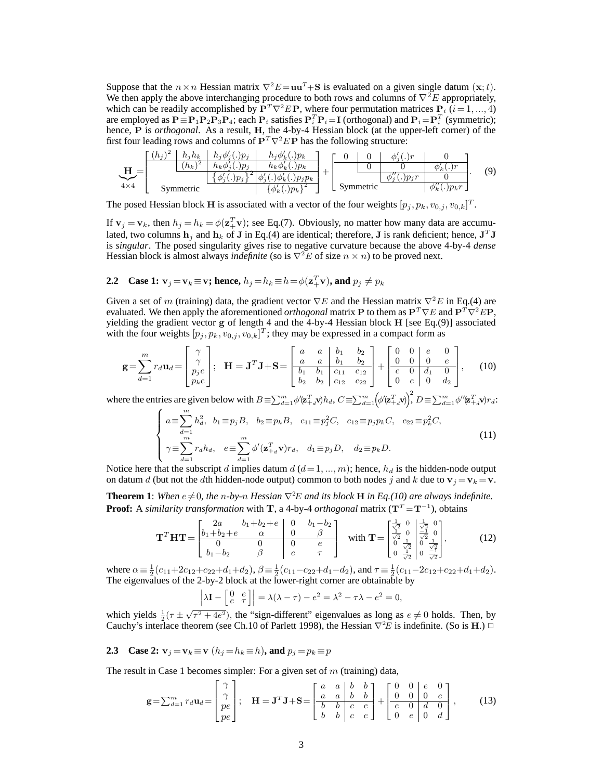Suppose that the  $n \times n$  Hessian matrix  $\nabla^2 E = \mathbf{u} \mathbf{u}^T + \mathbf{S}$  is evaluated on a given single datum  $(\mathbf{x}; t)$ . We then apply the above interchanging procedure to both rows and columns of  $\nabla^2 E$  appropriately, which can be readily accomplished by  $P^T \nabla^2 E \mathbf{P}$ , where four permutation matrices  $\mathbf{P}_i$  ( $i=1,..., 4$ ) are employed as  $P = P_1P_2P_3P_4$ ; each  $P_i$  satisfies  $P_i^T P_i = I$  (orthogonal) and  $P_i = P_i^T$  (symmetric); hence, P is *orthogonal*. As a result, H, the 4-by-4 Hessian block (at the upper-left corner) of the first four leading rows and columns of  $\mathbf{P}^T \nabla^2 E \mathbf{P}$  has the following structure:

|            | ١2<br>$(h_i)$ | $h_i h_k$    | $h_j\phi'_j(.)p_j$            | $h_i\phi'_k(.)p_k$                 |    |           | $\ldots$ ) $r$           |                                 |     |
|------------|---------------|--------------|-------------------------------|------------------------------------|----|-----------|--------------------------|---------------------------------|-----|
|            |               | ے ،<br>$h_k$ | $ p_i $<br>$n_k \varphi_i$    | $.$ ) $p_k$<br>$h_k \phi_k$        |    |           |                          | 1 <sup>m</sup><br>$\varphi_k$ ( |     |
|            |               |              | ıZ.<br>$ p_i\rangle$          | ነሐ'<br>$)p_i p_k$<br>$\varnothing$ | -- |           | $\ldots$ ) $p_i r$<br>Φś |                                 | (9) |
| $4\times4$ | Symmetric     |              | ∸<br>$\phi'_k(.)$<br>$)p_k$ . |                                    |    | Symmetric |                          | $\Omega(p_k r)$<br>$\varphi_k$  |     |

The posed Hessian block H is associated with a vector of the four weights  $[p_j, p_k, v_{0,j}, v_{0,k}]^T$ .

If  $v_j = v_k$ , then  $h_j = h_k = \phi(\mathbf{z}_+^T \mathbf{v})$ ; see Eq.(7). Obviously, no matter how many data are accumulated, two columns  $\mathbf{h}_j$  and  $\mathbf{h}_k$  of J in Eq.(4) are identical; therefore, J is rank deficient; hence,  $\mathbf{J}^T\mathbf{J}$ is *singular*. The posed singularity gives rise to negative curvature because the above 4-by-4 *dense* Hessian block is almost always *indefinite* (so is  $\nabla^2 E$  of size  $n \times n$ ) to be proved next.

**2.2** Case 1: 
$$
\mathbf{v}_j = \mathbf{v}_k \equiv \mathbf{v}
$$
; hence,  $h_j = h_k \equiv h = \phi(\mathbf{z}_+^T \mathbf{v})$ , and  $p_j \neq p_k$ 

Given a set of m (training) data, the gradient vector  $\nabla E$  and the Hessian matrix  $\nabla^2 E$  in Eq.(4) are evaluated. We then apply the aforementioned *orthogonal* matrix **P** to them as  $P^T \nabla E$  and  $P^T \nabla^2 E$ **P**, yielding the gradient vector g of length 4 and the 4-by-4 Hessian block H [see Eq.(9)] associated with the four weights  $[p_j, p_k, v_{0,j}, v_{0,k}]^T$ ; they may be expressed in a compact form as

$$
\mathbf{g} = \sum_{d=1}^{m} r_d \mathbf{u}_d = \begin{bmatrix} \gamma \\ \gamma \\ p_j e \\ p_k e \end{bmatrix}; \quad \mathbf{H} = \mathbf{J}^T \mathbf{J} + \mathbf{S} = \begin{bmatrix} a & a & b_1 & b_2 \\ a & a & b_1 & b_2 \\ b_1 & b_1 & c_{11} & c_{12} \\ b_2 & b_2 & c_{12} & c_{22} \end{bmatrix} + \begin{bmatrix} 0 & 0 & e & 0 \\ 0 & 0 & 0 & e \\ e & 0 & d_1 & 0 \\ 0 & e & 0 & d_2 \end{bmatrix}, \quad (10)
$$

where the entries are given below with  $B \equiv \sum_{d=1}^m \phi'(\mathbf{z}_{+d}^T \mathbf{y}) h_d$ ,  $C \equiv \sum_{d=1}^m \left(\phi'(\mathbf{z}_{+d}^T \mathbf{y})\right)^2$ ,  $D \equiv \sum_{d=1}^m \phi''(\mathbf{z}_{+d}^T \mathbf{y}) r_d$ :

$$
\begin{cases}\na \equiv \sum_{d=1}^{m} h_d^2, \ b_1 \equiv p_j B, \ b_2 \equiv p_k B, \ c_{11} \equiv p_j^2 C, \ c_{12} \equiv p_j p_k C, \ c_{22} \equiv p_k^2 C, \\
\gamma \equiv \sum_{d=1}^{m} r_d h_d, \ e \equiv \sum_{d=1}^{m} \phi'(z_{+d}^T \mathbf{v}) r_d, \ d_1 \equiv p_j D, \ d_2 \equiv p_k D.\n\end{cases} (11)
$$

Notice here that the subscript d implies datum  $d$  ( $d=1, ..., m$ ); hence,  $h_d$  is the hidden-node output on datum d (but not the dth hidden-node output) common to both nodes j and k due to  $\mathbf{v}_j = \mathbf{v}_k = \mathbf{v}$ .

**Theorem 1**: *When*  $e \neq 0$ *, the*  $n$ *-by-* $n$  *Hessian*  $\nabla^2 E$  *and its block* **H** *in Eq.(10) are always indefinite.* **Proof:** A *similarity transformation* with **T**, a 4-by-4 *orthogonal* matrix  $(T^T = T^{-1})$ , obtains

$$
\mathbf{T}^T \mathbf{H} \mathbf{T} = \begin{bmatrix} 2a & b_1 + b_2 + e & 0 & b_1 - b_2 \\ b_1 + b_2 + e & \alpha & 0 & \beta \\ 0 & 0 & 0 & e \\ b_1 - b_2 & \beta & e & \tau \end{bmatrix} \quad \text{with } \mathbf{T} = \begin{bmatrix} \frac{1}{\sqrt{2}} & 0 & \frac{1}{\sqrt{2}} & 0 \\ \frac{1}{\sqrt{2}} & 0 & \frac{1}{\sqrt{2}} & 0 \\ 0 & \frac{1}{\sqrt{2}} & 0 & \frac{1}{\sqrt{2}} \\ 0 & \frac{1}{\sqrt{2}} & 0 & \frac{1}{\sqrt{2}} \end{bmatrix},
$$
(12)

where  $\alpha \equiv \frac{1}{2}(c_{11}+2c_{12}+c_{22}+d_1+d_2)$ ,  $\beta \equiv \frac{1}{2}(c_{11}-c_{22}+d_1-d_2)$ , and  $\tau \equiv \frac{1}{2}(c_{11}-2c_{12}+c_{22}+d_1+d_2)$ .<br>The eigenvalues of the 2-by-2 block at the lower-right corner are obtainable by

$$
\left|\lambda \mathbf{I} - \begin{bmatrix} 0 & e \\ e & \tau \end{bmatrix}\right| = \lambda(\lambda - \tau) - e^2 = \lambda^2 - \tau \lambda - e^2 = 0,
$$

which yields  $\frac{1}{2}(\tau \pm \sqrt{\tau^2 + 4e^2})$ , the "sign-different" eigenvalues as long as  $e \neq 0$  holds. Then, by Cauchy's interlace theorem (see Ch.10 of Parlett 1998), the Hessian  $\nabla^2 E$  is indefinite. (So is H.)  $\Box$ 

**2.3** Case 2: 
$$
\mathbf{v}_j = \mathbf{v}_k \equiv \mathbf{v}
$$
 ( $h_j = h_k \equiv h$ ), and  $p_j = p_k \equiv p$ 

The result in Case 1 becomes simpler: For a given set of  $m$  (training) data,

$$
\mathbf{g} = \sum_{d=1}^{m} r_d \mathbf{u}_d = \begin{bmatrix} \gamma \\ \gamma \\ pe \\ pe \end{bmatrix}; \quad \mathbf{H} = \mathbf{J}^T \mathbf{J} + \mathbf{S} = \begin{bmatrix} a & a & b & b \\ a & a & b & b \\ b & b & c & c \\ b & b & c & c \end{bmatrix} + \begin{bmatrix} 0 & 0 & e & 0 \\ 0 & 0 & 0 & e \\ e & 0 & d & 0 \\ 0 & e & 0 & d \end{bmatrix}, \quad (13)
$$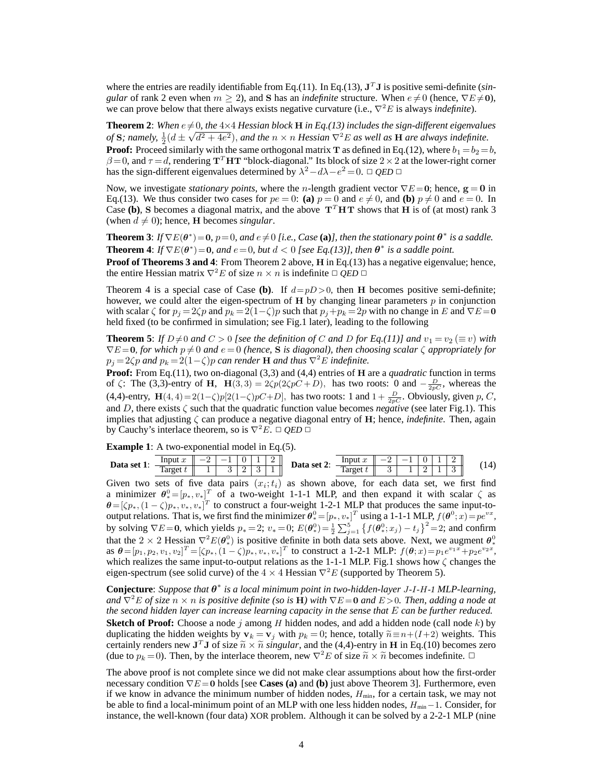where the entries are readily identifiable from Eq.(11). In Eq.(13),  $J<sup>T</sup> J$  is positive semi-definite (*singular* of rank 2 even when  $m \ge 2$ ), and S has an *indefinite* structure. When  $e \ne 0$  (hence,  $\nabla E \ne 0$ ), we can prove below that there always exists negative curvature (i.e.,  $∇<sup>2</sup>E$  is always *indefinite*).

**Theorem 2**: When  $e \neq 0$ , the  $4 \times 4$  *Hessian block* **H** in *Eq.(13)* includes the *sign-different eigenvalues*  $\overline{\text{log}}$  *of* S; *namely,*  $\frac{1}{2}(d \pm \sqrt{d^2 + 4e^2})$ , *and the*  $n \times n$  *Hessian*  $\nabla^2 E$  *as well as* **H** *are always indefinite.* **Proof:** Proceed similarly with the same orthogonal matrix T as defined in Eq.(12), where  $b_1 = b_2 = b$ ,  $β=0$ , and  $τ=d$ , rendering **T<sup>T</sup>HT** "block-diagonal." Its block of size 2 × 2 at the lower-right corner has the sign-different eigenvalues determined by  $λ²-dλ-e²=0$ . □ *QED* □

Now, we investigate *stationary points*, where the *n*-length gradient vector  $\nabla E = 0$ ; hence,  $g = 0$  in Eq.(13). We thus consider two cases for  $pe = 0$ : (a)  $p = 0$  and  $e \neq 0$ , and (b)  $p \neq 0$  and  $e = 0$ . In Case (b), S becomes a diagonal matrix, and the above  $T<sup>T</sup>HT$  shows that H is of (at most) rank 3 (when  $d \neq 0$ ); hence, **H** becomes *singular*.

**Theorem 3**: *If*  $\nabla E(\theta^*) = 0$ ,  $p = 0$ , and  $e \neq 0$  [i.e., *Case* (a)], *then the stationary point*  $\theta^*$  *is a saddle.* **Theorem 4:**  $If \nabla E(\theta^*) = 0$ , and  $e = 0$ , but  $d < 0$  [see Eq.(13)], then  $\theta^*$  is a saddle point. **Proof of Theorems 3 and 4**: From Theorem 2 above, H in Eq.(13) has a negative eigenvalue; hence, the entire Hessian matrix  $\nabla^2 E$  of size  $n \times n$  is indefinite  $\Box$  *QED*  $\Box$ 

Theorem 4 is a special case of Case (b). If  $d = pD > 0$ , then H becomes positive semi-definite; however, we could alter the eigen-spectrum of  $H$  by changing linear parameters  $p$  in conjunction with scalar  $\zeta$  for  $p_i = 2\zeta p$  and  $p_k = 2(1-\zeta)p$  such that  $p_i+p_k = 2p$  with no change in E and  $\nabla E = 0$ held fixed (to be confirmed in simulation; see Fig.1 later), leading to the following

**Theorem 5:** *If*  $D \neq 0$  *and*  $C > 0$  *[see the definition of* C *and*  $D$  *for Eq.(11)] and*  $v_1 = v_2$  ( $\equiv v$ ) *with*  $\nabla E = \mathbf{0}$ , for which  $p \neq 0$  and  $e = 0$  (hence, **S** is diagonal), then choosing scalar  $\zeta$  appropriately for  $p_j = 2\zeta p$  *and*  $p_k = 2(1-\zeta)p$  *can render* **H** *and thus*  $\nabla^2 E$  *indefinite.* 

**Proof:** From Eq.(11), two on-diagonal (3,3) and (4,4) entries of H are a *quadratic* function in terms of  $\zeta$ : The (3,3)-entry of H, H(3,3) = 2 $\zeta p(2\zeta pC+D)$ , has two roots: 0 and  $-\frac{D}{2pC}$ , whereas the (4,4)-entry,  $H(4,4) = 2(1-\zeta)p[2(1-\zeta)pC+D]$ , has two roots: 1 and  $1 + \frac{D}{2pC}$ . Obviously, given p, C, and  $D$ , there exists  $\zeta$  such that the quadratic function value becomes *negative* (see later Fig.1). This implies that adjusting ζ can produce a negative diagonal entry of H; hence, *indefinite*. Then, again by Cauchy's interlace theorem, so is  $\nabla^2 E$ .  $\Box$  *QED*  $\Box$ 

**Example 1**: A two-exponential model in Eq.(5).

**Data set 1:** 
$$
\frac{\text{Input } x \quad | \quad -2 \quad | \quad -1 \quad | \quad 0 \quad | \quad 1 \quad 2}{\text{Target } t \quad | \quad 1 \quad | \quad 3 \quad 2 \quad 3 \quad 1 \quad | \quad \text{Data set 2: } \frac{\text{Input } x \quad | \quad -2 \quad | \quad -1 \quad | \quad 0 \quad | \quad 1 \quad 2}{\text{Target } t \quad | \quad 3 \quad | \quad 1 \quad 2 \quad 1 \quad 3} \tag{14}
$$

Given two sets of five data pairs  $(x_i; t_i)$  as shown above, for each data set, we first find a minimizer  $\theta_*^0 = [p_*, v_*]^T$  of a two-weight 1-1-1 MLP, and then expand it with scalar  $\zeta$  as  $\theta = [\zeta p_*, (1-\zeta)p_*, v_*, v_*]^T$  to construct a four-weight 1-2-1 MLP that produces the same input-tooutput relations. That is, we first find the minimizer  $\theta_*^0 = [p_*, v_*]^T$  using a 1-1-1 MLP,  $f(\theta^0; x) = pe^{vx}$ , by solving  $\nabla E = 0$ , which yields  $p_* = 2$ ;  $v_* = 0$ ;  $E(\theta_*^0) = \frac{1}{2} \sum_{j=1}^5 \{ f(\theta_*^0; x_j) - t_j \}^2 = 2$ ; and confirm that the 2 × 2 Hessian  $\nabla^2 E(\theta^0_*)$  is positive definite in both data sets above. Next, we augment  $\theta^0_*$ as  $\boldsymbol{\theta} = [p_1, p_2, v_1, v_2]^T = [\zeta p_*, (1 - \zeta) p_*, v_*, v_*]^T$  to construct a 1-2-1 MLP:  $f(\boldsymbol{\theta}; x) = p_1 e^{v_1 x} + p_2 e^{v_2 x}$ , which realizes the same input-to-output relations as the 1-1-1 MLP. Fig.1 shows how  $\zeta$  changes the eigen-spectrum (see solid curve) of the  $4 \times 4$  Hessian  $\nabla^2 E$  (supported by Theorem 5).

**Conjecture**: *Suppose that* θ ∗ *is a local minimum point in two-hidden-layer* J*-*I*-*H*-1 MLP-learning, and*  $\nabla^2 E$  *of size*  $n \times n$  *is positive definite* (so *is* **H**) with  $\nabla E = 0$  *and*  $E > 0$ *. Then, adding a node at the second hidden layer can increase learning capacity in the sense that* E *can be further reduced.* **Sketch of Proof:** Choose a node j among H hidden nodes, and add a hidden node (call node  $k$ ) by duplicating the hidden weights by  $v_k = v_j$  with  $p_k = 0$ ; hence, totally  $\tilde{n} = n + (I+2)$  weights. This certainly renders new  $J^T J$  of size  $\tilde{n} \times \tilde{n}$  *singular*, and the (4,4)-entry in H in Eq.(10) becomes zero (due to  $n = 0$ ). Then by the interlease theorem, new  $\nabla^2 E$  of size  $\tilde{n} \times \tilde{n}$  becomes indefinite. (due to  $p_k = 0$ ). Then, by the interlace theorem, new  $\nabla^2 E$  of size  $\tilde{n} \times \tilde{n}$  becomes indefinite.  $\Box$ 

The above proof is not complete since we did not make clear assumptions about how the first-order necessary condition <sup>∇</sup><sup>E</sup> <sup>=</sup><sup>0</sup> holds [see **Cases (a)** and **(b)** just above Theorem 3]. Furthermore, even if we know in advance the minimum number of hidden nodes,  $H_{min}$ , for a certain task, we may not be able to find a local-minimum point of an MLP with one less hidden nodes,  $H_{min}$  – 1. Consider, for instance, the well-known (four data) XOR problem. Although it can be solved by a 2-2-1 MLP (nine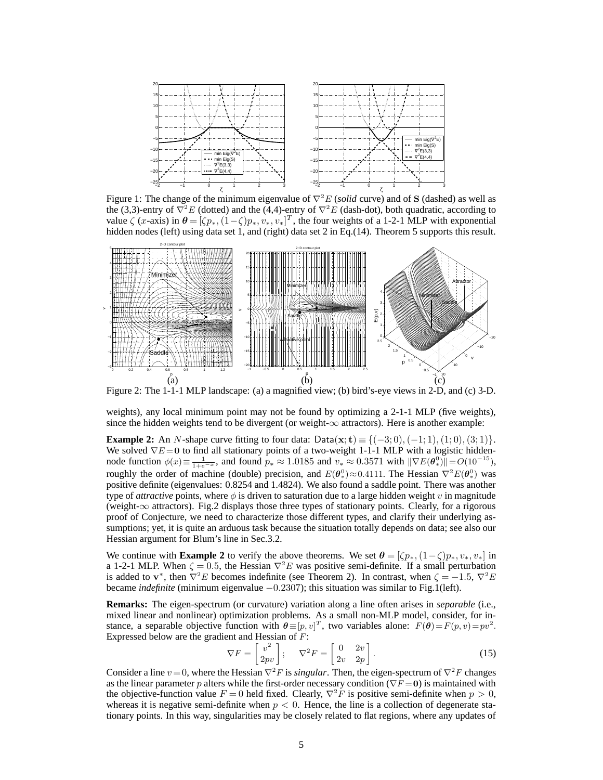

Figure 1: The change of the minimum eigenvalue of  $\nabla^2 E$  (*solid* curve) and of S (dashed) as well as the (3,3)-entry of  $\nabla^2 E$  (dotted) and the (4,4)-entry of  $\nabla^2 E$  (dash-dot), both quadratic, according to value  $\zeta$  (x-axis) in  $\theta = [\zeta p_*, (1-\zeta)p_*, v_*, v_*]^T$ , the four weights of a 1-2-1 MLP with exponential hidden nodes (left) using data set 1, and (right) data set 2 in Eq.(14). Theorem 5 supports this result.



Figure 2: The 1-1-1 MLP landscape: (a) a magnified view; (b) bird's-eye views in 2-D, and (c) 3-D.

weights), any local minimum point may not be found by optimizing a 2-1-1 MLP (five weights), since the hidden weights tend to be divergent (or weight-∞ attractors). Here is another example:

**Example 2:** An N-shape curve fitting to four data:  $Data(x; t) \equiv \{(-3; 0), (-1; 1), (1; 0), (3; 1)\}.$ We solved  $\nabla E = 0$  to find all stationary points of a two-weight 1-1-1 MLP with a logistic hiddennode function  $\phi(x) \equiv \frac{1}{1+e^{-x}}$ , and found  $p_* \approx 1.0185$  and  $v_* \approx 0.3571$  with  $\|\nabla E(\theta_*^0)\| = O(10^{-15})$ , roughly the order of machine (double) precision, and  $E(\theta_*^0) \approx 0.4111$ . The Hessian  $\nabla^2 E(\theta_*^0)$  was positive definite (eigenvalues: 0.8254 and 1.4824). We also found a saddle point. There was another type of *attractive* points, where  $\phi$  is driven to saturation due to a large hidden weight v in magnitude (weight-∞ attractors). Fig.2 displays those three types of stationary points. Clearly, for a rigorous proof of Conjecture, we need to characterize those different types, and clarify their underlying assumptions; yet, it is quite an arduous task because the situation totally depends on data; see also our Hessian argument for Blum's line in Sec.3.2.

We continue with **Example** 2 to verify the above theorems. We set  $\theta = [\zeta p_*, (1-\zeta)p_*, v_*, v_*]$  in a 1-2-1 MLP. When  $\zeta = 0.5$ , the Hessian  $\nabla^2 E$  was positive semi-definite. If a small perturbation is added to  $\mathbf{v}^*$ , then  $\nabla^2 E$  becomes indefinite (see Theorem 2). In contrast, when  $\zeta = -1.5$ ,  $\nabla^2 E$ became *indefinite* (minimum eigenvalue −0.2307); this situation was similar to Fig.1(left).

**Remarks:** The eigen-spectrum (or curvature) variation along a line often arises in *separable* (i.e., mixed linear and nonlinear) optimization problems. As a small non-MLP model, consider, for instance, a separable objective function with  $\theta = [p, v]^T$ , two variables alone:  $F(\theta) = F(p, v) = pv^2$ . Expressed below are the gradient and Hessian of  $F$ :

$$
\nabla F = \begin{bmatrix} v^2 \\ 2pv \end{bmatrix}; \quad \nabla^2 F = \begin{bmatrix} 0 & 2v \\ 2v & 2p \end{bmatrix}.
$$
 (15)

Consider a line  $v=0$ , where the Hessian  $\nabla^2F$  is *singular*. Then, the eigen-spectrum of  $\nabla^2F$  changes as the linear parameter p alters while the first-order necessary condition ( $\nabla F = 0$ ) is maintained with the objective-function value  $F = 0$  held fixed. Clearly,  $\nabla^2 F$  is positive semi-definite when  $p > 0$ , whereas it is negative semi-definite when  $p < 0$ . Hence, the line is a collection of degenerate stationary points. In this way, singularities may be closely related to flat regions, where any updates of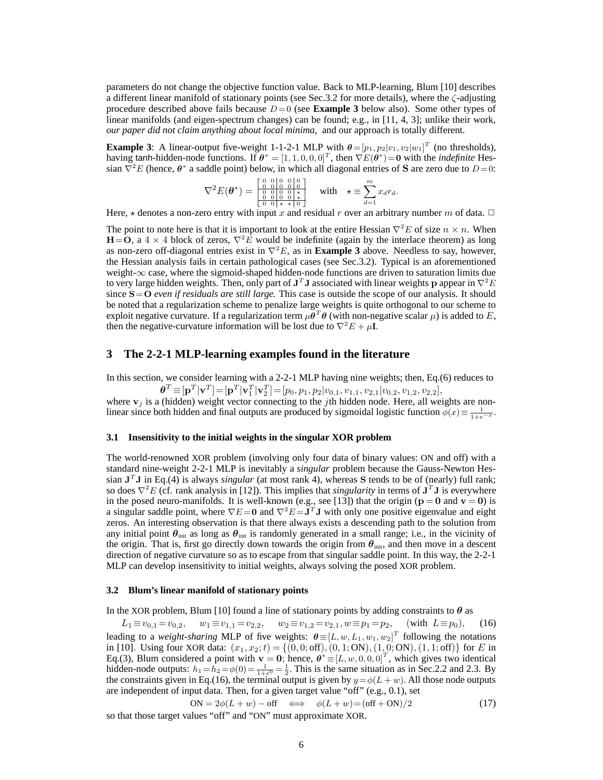parameters do not change the objective function value. Back to MLP-learning, Blum [10] describes a different linear manifold of stationary points (see Sec.3.2 for more details), where the  $\zeta$ -adjusting procedure described above fails because  $D=0$  (see **Example 3** below also). Some other types of linear manifolds (and eigen-spectrum changes) can be found; e.g., in [11, 4, 3]; unlike their work, *our paper did not claim anything about local minima,* and our approach is totally different.

**Example 3**: A linear-output five-weight 1-1-2-1 MLP with  $\theta = [p_1, p_2]v_1, v_2|w_1]^T$  (no thresholds), having tanh-hidden-node functions. If  $\theta^* = [1, 1, 0, 0, 0]^T$ , then  $\nabla E(\hat{\theta}^*) = 0$  with the *indefinite* Hessian  $\nabla^2 E$  (hence,  $\theta^*$  a saddle point) below, in which all diagonal entries of **S** are zero due to  $D=0$ :

$$
\nabla^2 E(\theta^*) = \begin{bmatrix} 0 & 0 & 0 & 0 & 0 \\ 0 & 0 & 0 & 0 & 0 \\ 0 & 0 & 0 & 0 & \star \\ 0 & 0 & \star & \star & 0 \end{bmatrix} \star \text{ with } \star \equiv \sum_{d=1}^m x_d r_d.
$$

Here,  $\star$  denotes a non-zero entry with input x and residual r over an arbitrary number m of data.  $\Box$ 

The point to note here is that it is important to look at the entire Hessian  $\nabla^2 E$  of size  $n \times n$ . When  $H=O$ , a  $4 \times 4$  block of zeros,  $\nabla^2 E$  would be indefinite (again by the interlace theorem) as long as non-zero off-diagonal entries exist in <sup>∇</sup><sup>2</sup>E, as in **Example 3** above. Needless to say, however, the Hessian analysis fails in certain pathological cases (see Sec.3.2). Typical is an aforementioned weight-∞ case, where the sigmoid-shaped hidden-node functions are driven to saturation limits due to very large hidden weights. Then, only part of  $J^T J$  associated with linear weights p appear in  $\nabla^2 E$ since S=O *even if residuals are still large.* This case is outside the scope of our analysis. It should be noted that a regularization scheme to penalize large weights is quite orthogonal to our scheme to exploit negative curvature. If a regularization term  $\mu \theta^T \theta$  (with non-negative scalar  $\mu$ ) is added to E, then the negative-curvature information will be lost due to  $\nabla^2 E + \mu I$ .

## **3 The 2-2-1 MLP-learning examples found in the literature**

In this section, we consider learning with a 2-2-1 MLP having nine weights; then, Eq.(6) reduces to

 $\boldsymbol{\theta}^T \equiv [\mathbf{p}^T | \mathbf{v}^T] = [\mathbf{p}^T | \mathbf{v}_1^T | \mathbf{v}_2^T] = [p_0, p_1, p_2 | v_{0,1}, v_{1,1}, v_{2,1} | v_{0,2}, v_{1,2}, v_{2,2}],$ 

where  $\mathbf{v}_j$  is a (hidden) weight vector connecting to the *j*th hidden node. Here, all weights are nonlinear since both hidden and final outputs are produced by sigmoidal logistic function  $\phi(x) \equiv \frac{1}{1+e^{-x}}$ .

#### **3.1 Insensitivity to the initial weights in the singular XOR problem**

The world-renowned XOR problem (involving only four data of binary values: ON and off) with a standard nine-weight 2-2-1 MLP is inevitably a *singular* problem because the Gauss-Newton Hessian  $J<sup>T</sup>J$  in Eq.(4) is always *singular* (at most rank 4), whereas S tends to be of (nearly) full rank; so does  $\nabla^2 E$  (cf. rank analysis in [12]). This implies that *singularity* in terms of  $\mathbf{J}^T \mathbf{J}$  is everywhere in the posed neuro-manifolds. It is well-known (e.g., see [13]) that the origin ( $p = 0$  and  $v = 0$ ) is a singular saddle point, where  $\nabla E = \mathbf{0}$  and  $\nabla^2 E = \mathbf{J}^T \mathbf{J}$  with only one positive eigenvalue and eight zeros. An interesting observation is that there always exists a descending path to the solution from any initial point  $\theta_{\text{init}}$  as long as  $\theta_{\text{init}}$  is randomly generated in a small range; i.e., in the vicinity of the origin. That is, first go directly down towards the origin from  $\theta_{\text{init}}$ , and then move in a descent direction of negative curvature so as to escape from that singular saddle point. In this way, the 2-2-1 MLP can develop insensitivity to initial weights, always solving the posed XOR problem.

#### **3.2 Blum's linear manifold of stationary points**

In the XOR problem, Blum [10] found a line of stationary points by adding constraints to  $\theta$  as

 $L_1 \equiv v_{0,1} = v_{0,2}, \quad w_1 \equiv v_{1,1} = v_{2,2}, \quad w_2 \equiv v_{1,2} = v_{2,1}, w \equiv p_1 = p_2,$  (with  $L \equiv p_0$ ), (16) leading to a *weight-sharing* MLP of five weights:  $\theta = [L, w, L_1, w_1, w_2]^T$  following the notations in [10]. Using four XOR data:  $(x_1, x_2; t) = \{(0, 0; \text{off}), (0, 1; \text{ON}), (1, 0; \text{ON}), (1, 1; \text{off})\}$  for E in Eq.(3), Blum considered a point with  $\mathbf{v} = \mathbf{0}$ ; hence,  $\boldsymbol{\theta}^* \equiv [L, w, 0, 0, 0]^T$ , which gives two identical hidden-node outputs:  $h_1 = h_2 = \phi(0) = \frac{1}{1 + e^0} = \frac{1}{2}$ . This is the same situation as in Sec.2.2 and 2.3. By the constraints given in Eq.(16), the terminal output is given by  $y = \phi(L + w)$ . All those node outputs are independent of input data. Then, for a given target value "off" (e.g., 0.1), set

$$
ON = 2\phi(L+w) - \text{off} \iff \phi(L+w) = (\text{off} + \text{ON})/2 \tag{17}
$$

so that those target values "off" and "ON" must approximate XOR.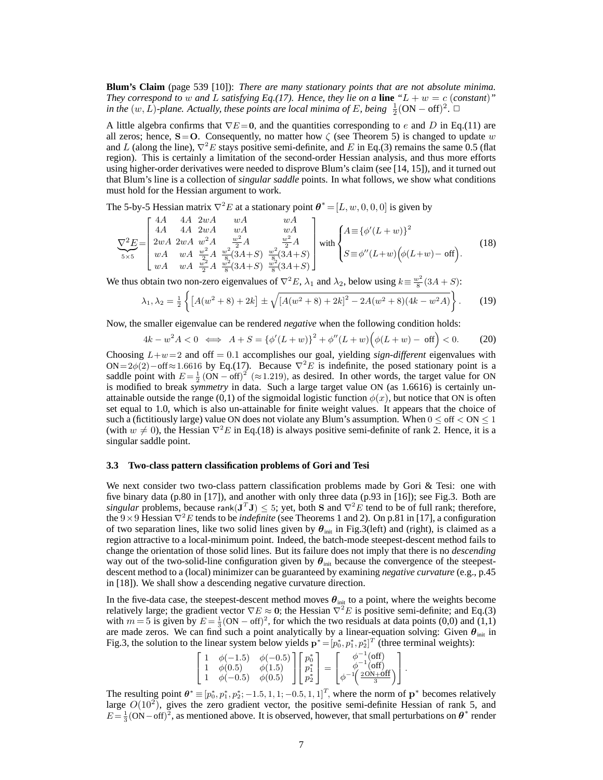**Blum's Claim** (page 539 [10]): *There are many stationary points that are not absolute minima. They correspond to* w *and* L *satisfying*  $Eq.(17)$ *. Hence, they lie on a* **line**  $"L + w = c$  (*constant*)<sup>"</sup> *in the*  $(w, L)$ -plane. Actually, these points are local minima of E, being  $\frac{1}{2}$ (ON – off)<sup>2</sup>.  $\Box$ 

A little algebra confirms that  $\nabla E = 0$ , and the quantities corresponding to e and D in Eq.(11) are all zeros; hence,  $S=O$ . Consequently, no matter how  $\zeta$  (see Theorem 5) is changed to update w and L (along the line),  $\nabla^2 E$  stays positive semi-definite, and E in Eq.(3) remains the same 0.5 (flat region). This is certainly a limitation of the second-order Hessian analysis, and thus more efforts using higher-order derivatives were needed to disprove Blum's claim (see [14, 15]), and it turned out that Blum's line is a collection of *singular saddle* points. In what follows, we show what conditions must hold for the Hessian argument to work.

The 5-by-5 Hessian matrix  $\nabla^2 E$  at a stationary point  $\boldsymbol{\theta}^* = [L, w, 0, 0, 0]$  is given by

$$
\sum_{5\times 5}^{2} E = \begin{bmatrix} 4A & 4A & 2wA & wA & wA \\ 4A & 4A & 2wA & wA & wA \\ 2wA & wA & w^2A & \frac{w^2}{2}A & \frac{w^2}{2}A \\ wA & wA & \frac{w^2}{2}A & \frac{w^2}{8}(3A+S) & \frac{w^2}{8}(3A+S) \\ wA & wA & \frac{w^2}{2}A & \frac{w^2}{8}(3A+S) & \frac{w^2}{8}(3A+S) \end{bmatrix} \text{ with } \begin{cases} A \equiv {\{\phi'(L+w)\}}^2 \\ S \equiv {\phi''(L+w)} \Big( {\phi(L+w) - \text{off}} \Big). \end{cases}
$$
(18)

We thus obtain two non-zero eigenvalues of  $\nabla^2 E$ ,  $\lambda_1$  and  $\lambda_2$ , below using  $k \equiv \frac{w^2}{8}(3A + S)$ :

$$
\lambda_1, \lambda_2 = \frac{1}{2} \left\{ \left[ A(w^2 + 8) + 2k \right] \pm \sqrt{ \left[ A(w^2 + 8) + 2k \right]^2 - 2A(w^2 + 8)(4k - w^2 A)} \right\}.
$$
 (19)

Now, the smaller eigenvalue can be rendered *negative* when the following condition holds:

$$
4k - w^2 A < 0 \iff A + S = \{ \phi'(L + w) \}^2 + \phi''(L + w) \Big( \phi(L + w) - \text{off} \Big) < 0. \tag{20}
$$

Choosing  $L+w=2$  and off = 0.1 accomplishes our goal, yielding *sign-different* eigenvalues with ON=2 $\phi$ (2)−off≈1.6616 by Eq.(17). Because  $\nabla^2 E$  is indefinite, the posed stationary point is a saddle point with  $E = \frac{1}{2} (ON - off)^2$  ( $\approx$  1.219), as desired. In other words, the target value for ON is modified to break *symmetry* in data. Such a large target value ON (as 1.6616) is certainly unattainable outside the range (0,1) of the sigmoidal logistic function  $\phi(x)$ , but notice that ON is often set equal to 1.0, which is also un-attainable for finite weight values. It appears that the choice of such a (fictitiously large) value ON does not violate any Blum's assumption. When  $0 \le \text{off} < \text{ON} \le 1$ (with  $w \neq 0$ ), the Hessian  $\nabla^2 E$  in Eq.(18) is always positive semi-definite of rank 2. Hence, it is a singular saddle point.

#### **3.3 Two-class pattern classification problems of Gori and Tesi**

We next consider two two-class pattern classification problems made by Gori & Tesi: one with five binary data (p.80 in [17]), and another with only three data (p.93 in [16]); see Fig.3. Both are *singular* problems, because  $\text{rank}(\mathbf{J}^T \mathbf{J}) \leq 5$ ; yet, both S and  $\nabla^2 E$  tend to be of full rank; therefore, the <sup>9</sup>×<sup>9</sup> Hessian <sup>∇</sup><sup>2</sup><sup>E</sup> tends to be *indefinite* (see Theorems <sup>1</sup> and 2). On p.81 in [17], <sup>a</sup> configuration of two separation lines, like two solid lines given by  $\theta_{\text{init}}$  in Fig.3(left) and (right), is claimed as a region attractive to a local-minimum point. Indeed, the batch-mode steepest-descent method fails to change the orientation of those solid lines. But its failure does not imply that there is no *descending* way out of the two-solid-line configuration given by  $\theta_{\text{init}}$  because the convergence of the steepestdescent method to a (local) minimizer can be guaranteed by examining *negative curvature* (e.g., p.45 in [18]). We shall show a descending negative curvature direction.

In the five-data case, the steepest-descent method moves  $\theta_{\text{init}}$  to a point, where the weights become relatively large; the gradient vector  $\nabla E \approx 0$ ; the Hessian  $\nabla^2 E$  is positive semi-definite; and Eq.(3) with  $m = 5$  is given by  $E = \frac{1}{3} (ON - off)^2$ , for which the two residuals at data points (0,0) and (1,1) are made zeros. We can find such a point analytically by a linear-equation solving: Given  $\theta_{\text{init}}$  in Fig.3, the solution to the linear system below yields  $\mathbf{p}^* = [p_0^*, p_1^*, p_2^*]^T$  (three terminal weights):

$$
\begin{bmatrix} 1 & \phi(-1.5) & \phi(-0.5) \\ 1 & \phi(0.5) & \phi(1.5) \\ 1 & \phi(-0.5) & \phi(0.5) \end{bmatrix} \begin{bmatrix} p_0^* \\ p_1^* \\ p_2^* \end{bmatrix} = \begin{bmatrix} \phi^{-1}(off) \\ \phi^{-1}(off) \\ \phi^{-1}\left(\frac{2ON+off}{3}\right) \end{bmatrix}.
$$

The resulting point  $\theta^* \equiv [p_0^*, p_1^*, p_2^*; -1.5, 1, 1; -0.5, 1, 1]^T$ , where the norm of  $\mathbf{p}^*$  becomes relatively large  $O(10^2)$ , gives the zero gradient vector, the positive semi-definite Hessian of rank 5, and  $E = \frac{1}{3}(\text{ON}-\text{off})^2$ , as mentioned above. It is observed, however, that small perturbations on  $\theta^*$  render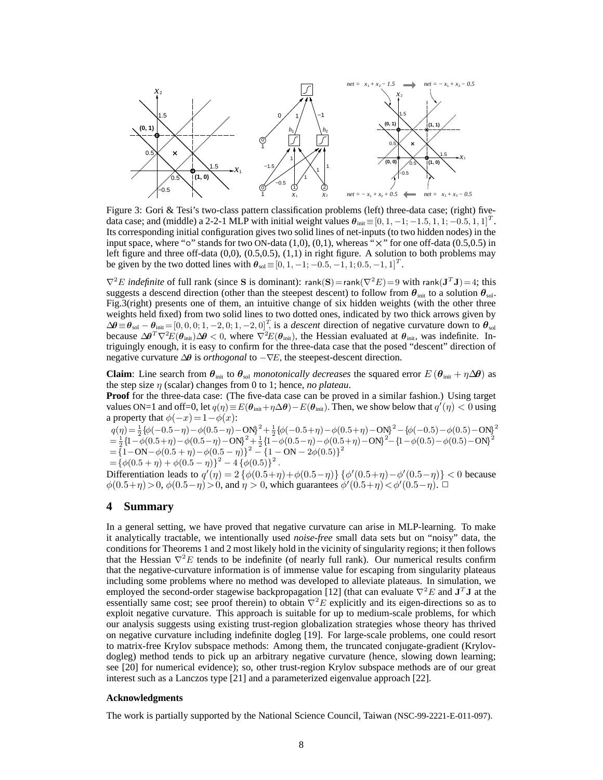

Figure 3: Gori & Tesi's two-class pattern classification problems (left) three-data case; (right) fivedata case; and (middle) a 2-2-1 MLP with initial weight values  $\theta_{\text{init}} \equiv [0, 1, -1, -1.5, 1, 1, -0.5, 1, 1]^T$ . Its corresponding initial configuration gives two solid lines of net-inputs (to two hidden nodes) in the input space, where " $\circ$ " stands for two ON-data (1,0), (0,1), whereas " $\times$ " for one off-data (0.5,0.5) in left figure and three off-data  $(0,0)$ ,  $(0.5,0.5)$ ,  $(1,1)$  in right figure. A solution to both problems may be given by the two dotted lines with  $\theta_{sol} \equiv [0, 1, -1, -0.5, -1, 1, 0.5, -1, 1]^T$ .

 $\nabla^2 E$  *indefinite* of full rank (since S is dominant): rank(S)=rank( $\nabla^2 E$ )=9 with rank( $J^T J$ )=4; this suggests a descend direction (other than the steepest descent) to follow from  $\theta_{\text{init}}$  to a solution  $\theta_{\text{sol}}$ . Fig.3(right) presents one of them, an intuitive change of six hidden weights (with the other three weights held fixed) from two solid lines to two dotted ones, indicated by two thick arrows given by  $\Delta\theta \equiv \theta_{\text{sol}} - \theta_{\text{init}} = [0, 0, 0, 1, -2, 0, 1, -2, 0]^T$ , is a *descent* direction of negative curvature down to  $\theta_{\text{sol}}$ because  $\Delta \theta^T \nabla^2 E(\theta_{\text{init}}) \Delta \theta < 0$ , where  $\nabla^2 E(\theta_{\text{init}})$ , the Hessian evaluated at  $\theta_{\text{init}}$ , was indefinite. Intriguingly enough, it is easy to confirm for the three-data case that the posed "descent" direction of negative curvature <sup>∆</sup><sup>θ</sup> is *orthogonal* to −∇E, the steepest-descent direction.

**Claim**: Line search from  $\theta_{\text{init}}$  to  $\theta_{\text{sol}}$  *monotonically decreases* the squared error  $E(\theta_{\text{init}} + \eta \Delta \theta)$  as the step size η (scalar) changes from 0 to 1; hence, *no plateau*.

**Proof** for the three-data case: (The five-data case can be proved in a similar fashion.) Using target values ON=1 and off=0, let  $q(\eta) \equiv E(\theta_{\text{init}} + \eta \Delta \theta) - E(\theta_{\text{init}})$ . Then, we show below that  $q'(\eta) < 0$  using a property that  $\phi(-x)=1-\phi(x)$ :

 $q(\eta) = \frac{1}{2} \left\{ \phi(-0.5 - \eta) - \phi(0.5 - \eta) - \text{ON} \right\}^2 + \frac{1}{2} \left\{ \phi(-0.5 + \eta) - \phi(0.5 + \eta) - \text{ON} \right\}^2 - \left\{ \phi(-0.5) - \phi(0.5) - \text{ON} \right\}^2$  $=\frac{1}{2}\left\{1-\phi(0.5+\eta)-\phi(0.5-\eta)-\text{ON}\right\}^2+\frac{1}{2}\left\{1-\phi(0.5-\eta)-\phi(0.5+\eta)-\text{ON}\right\}^2-\left\{1-\phi(0.5)-\phi(0.5)-\text{ON}\right\}^2$  $=\left\{1-\text{ON}-\phi(0.5+\eta)-\phi(0.5-\eta)\right\}^2-\left\{1-\text{ON}-2\phi(0.5)\right\}^2$ = ${\phi(0.5 + \eta) + \phi(0.5 - \eta)}^2$  - 4  ${\phi(0.5)}^2$ .<br>
Sifferentiation look to  $\phi'(x) = 2 \left( \frac{1}{2} (0.5 + x) + \frac{1}{2} (0.5 - x) \right) \left( \frac{1}{2} (0.5 + x) - \frac{1}{2} (0.5 - x) \right)$ 

Differentiation leads to  $q'(\eta) = 2 \{ \phi(0.5+\eta) + \phi(0.5-\eta) \} \{ \phi'(0.5+\eta) - \phi'(0.5-\eta) \} < 0$  because  $\phi(0.5+\eta) > 0$ ,  $\phi(0.5-\eta) > 0$ , and  $\eta > 0$ , which guarantees  $\phi'(0.5+\eta) < \phi'(0.5-\eta)$ .

## **4 Summary**

In a general setting, we have proved that negative curvature can arise in MLP-learning. To make it analytically tractable, we intentionally used *noise-free* small data sets but on "noisy" data, the conditions for Theorems 1 and 2 most likely hold in the vicinity of singularity regions; it then follows that the Hessian  $\nabla^2 E$  tends to be indefinite (of nearly full rank). Our numerical results confirm that the negative-curvature information is of immense value for escaping from singularity plateaus including some problems where no method was developed to alleviate plateaus. In simulation, we employed the second-order stagewise backpropagation [12] (that can evaluate  $\nabla^2 E$  and  $\mathbf{J}^T \mathbf{J}$  at the essentially same cost; see proof therein) to obtain  $\nabla^2 E$  explicitly and its eigen-directions so as to exploit negative curvature. This approach is suitable for up to medium-scale problems, for which our analysis suggests using existing trust-region globalization strategies whose theory has thrived on negative curvature including indefinite dogleg [19]. For large-scale problems, one could resort to matrix-free Krylov subspace methods: Among them, the truncated conjugate-gradient (Krylovdogleg) method tends to pick up an arbitrary negative curvature (hence, slowing down learning; see [20] for numerical evidence); so, other trust-region Krylov subspace methods are of our great interest such as a Lanczos type [21] and a parameterized eigenvalue approach [22].

#### **Acknowledgments**

The work is partially supported by the National Science Council, Taiwan (NSC-99-2221-E-011-097).